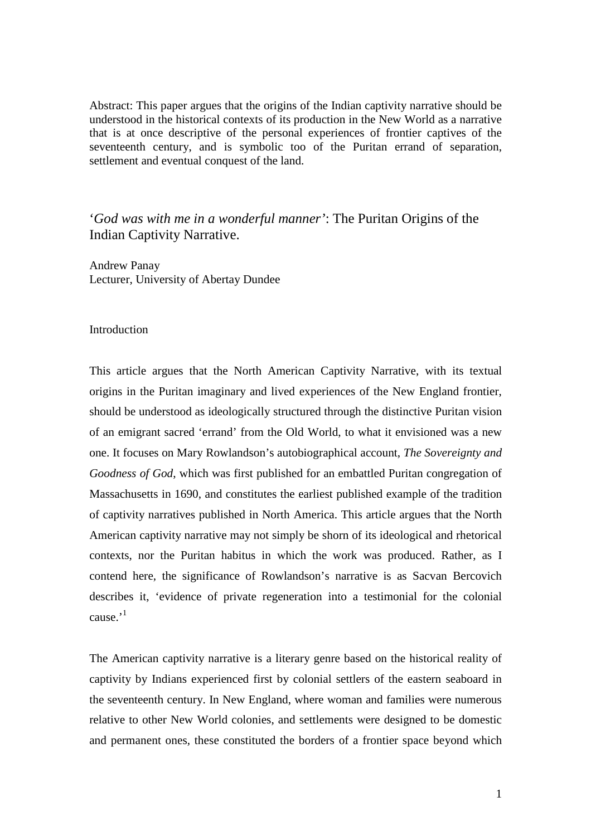Abstract: This paper argues that the origins of the Indian captivity narrative should be understood in the historical contexts of its production in the New World as a narrative that is at once descriptive of the personal experiences of frontier captives of the seventeenth century, and is symbolic too of the Puritan errand of separation, settlement and eventual conquest of the land.

'*God was with me in a wonderful manner'*: The Puritan Origins of the Indian Captivity Narrative.

Andrew Panay Lecturer, University of Abertay Dundee

## Introduction

This article argues that the North American Captivity Narrative, with its textual origins in the Puritan imaginary and lived experiences of the New England frontier, should be understood as ideologically structured through the distinctive Puritan vision of an emigrant sacred 'errand' from the Old World, to what it envisioned was a new one. It focuses on Mary Rowlandson's autobiographical account, *The Sovereignty and Goodness of God*, which was first published for an embattled Puritan congregation of Massachusetts in 1690, and constitutes the earliest published example of the tradition of captivity narratives published in North America. This article argues that the North American captivity narrative may not simply be shorn of its ideological and rhetorical contexts, nor the Puritan habitus in which the work was produced. Rather, as I contend here, the significance of Rowlandson's narrative is as Sacvan Bercovich describes it, 'evidence of private regeneration into a testimonial for the colonial  $c$ ause<sup> $,1$ </sup>

The American captivity narrative is a literary genre based on the historical reality of captivity by Indians experienced first by colonial settlers of the eastern seaboard in the seventeenth century. In New England, where woman and families were numerous relative to other New World colonies, and settlements were designed to be domestic and permanent ones, these constituted the borders of a frontier space beyond which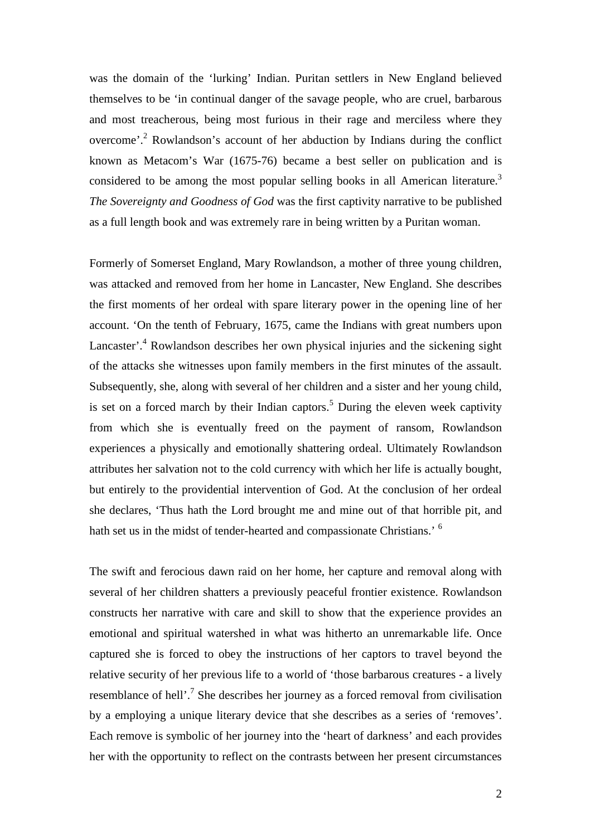was the domain of the 'lurking' Indian. Puritan settlers in New England believed themselves to be 'in continual danger of the savage people, who are cruel, barbarous and most treacherous, being most furious in their rage and merciless where they overcome'.<sup>2</sup> Rowlandson's account of her abduction by Indians during the conflict known as Metacom's War (1675-76) became a best seller on publication and is considered to be among the most popular selling books in all American literature.<sup>3</sup> *The Sovereignty and Goodness of God* was the first captivity narrative to be published as a full length book and was extremely rare in being written by a Puritan woman.

Formerly of Somerset England, Mary Rowlandson, a mother of three young children, was attacked and removed from her home in Lancaster, New England. She describes the first moments of her ordeal with spare literary power in the opening line of her account. 'On the tenth of February, 1675, came the Indians with great numbers upon Lancaster'.<sup>4</sup> Rowlandson describes her own physical injuries and the sickening sight of the attacks she witnesses upon family members in the first minutes of the assault. Subsequently, she, along with several of her children and a sister and her young child, is set on a forced march by their Indian captors.<sup>5</sup> During the eleven week captivity from which she is eventually freed on the payment of ransom, Rowlandson experiences a physically and emotionally shattering ordeal. Ultimately Rowlandson attributes her salvation not to the cold currency with which her life is actually bought, but entirely to the providential intervention of God. At the conclusion of her ordeal she declares, 'Thus hath the Lord brought me and mine out of that horrible pit, and hath set us in the midst of tender-hearted and compassionate Christians.<sup>' 6</sup>

The swift and ferocious dawn raid on her home, her capture and removal along with several of her children shatters a previously peaceful frontier existence. Rowlandson constructs her narrative with care and skill to show that the experience provides an emotional and spiritual watershed in what was hitherto an unremarkable life. Once captured she is forced to obey the instructions of her captors to travel beyond the relative security of her previous life to a world of 'those barbarous creatures - a lively resemblance of hell'.<sup>7</sup> She describes her journey as a forced removal from civilisation by a employing a unique literary device that she describes as a series of 'removes'. Each remove is symbolic of her journey into the 'heart of darkness' and each provides her with the opportunity to reflect on the contrasts between her present circumstances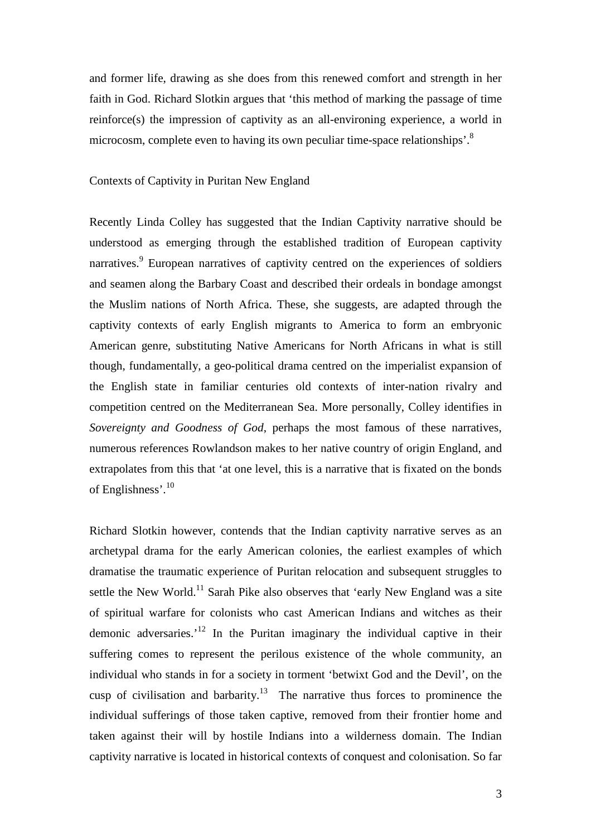and former life, drawing as she does from this renewed comfort and strength in her faith in God. Richard Slotkin argues that 'this method of marking the passage of time reinforce(s) the impression of captivity as an all-environing experience, a world in microcosm, complete even to having its own peculiar time-space relationships'.<sup>8</sup>

## Contexts of Captivity in Puritan New England

Recently Linda Colley has suggested that the Indian Captivity narrative should be understood as emerging through the established tradition of European captivity narratives.<sup>9</sup> European narratives of captivity centred on the experiences of soldiers and seamen along the Barbary Coast and described their ordeals in bondage amongst the Muslim nations of North Africa. These, she suggests, are adapted through the captivity contexts of early English migrants to America to form an embryonic American genre, substituting Native Americans for North Africans in what is still though, fundamentally, a geo-political drama centred on the imperialist expansion of the English state in familiar centuries old contexts of inter-nation rivalry and competition centred on the Mediterranean Sea. More personally, Colley identifies in *Sovereignty and Goodness of God*, perhaps the most famous of these narratives, numerous references Rowlandson makes to her native country of origin England, and extrapolates from this that 'at one level, this is a narrative that is fixated on the bonds of Englishness'.<sup>10</sup>

Richard Slotkin however, contends that the Indian captivity narrative serves as an archetypal drama for the early American colonies, the earliest examples of which dramatise the traumatic experience of Puritan relocation and subsequent struggles to settle the New World.<sup>11</sup> Sarah Pike also observes that 'early New England was a site of spiritual warfare for colonists who cast American Indians and witches as their demonic adversaries.<sup> $12$ </sup> In the Puritan imaginary the individual captive in their suffering comes to represent the perilous existence of the whole community, an individual who stands in for a society in torment 'betwixt God and the Devil', on the cusp of civilisation and barbarity.<sup>13</sup> The narrative thus forces to prominence the individual sufferings of those taken captive, removed from their frontier home and taken against their will by hostile Indians into a wilderness domain. The Indian captivity narrative is located in historical contexts of conquest and colonisation. So far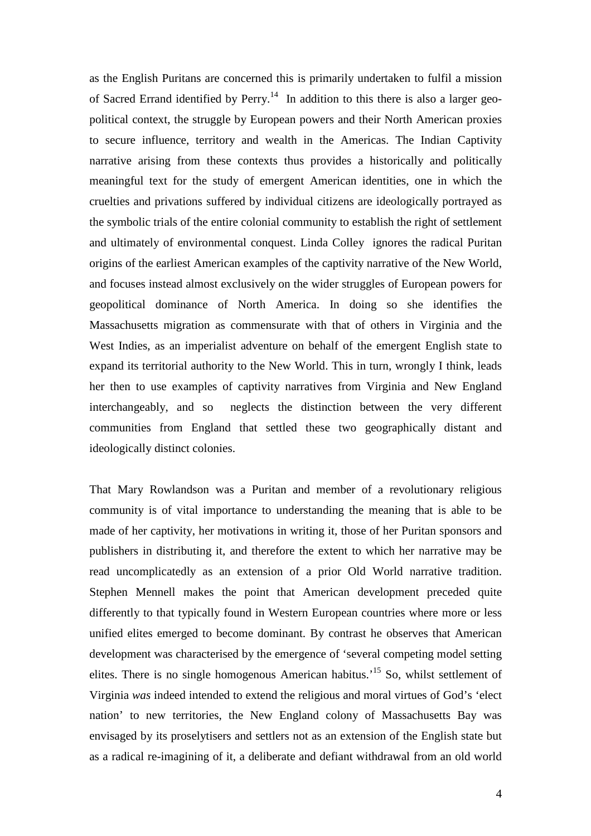as the English Puritans are concerned this is primarily undertaken to fulfil a mission of Sacred Errand identified by Perry.<sup>14</sup> In addition to this there is also a larger geopolitical context, the struggle by European powers and their North American proxies to secure influence, territory and wealth in the Americas. The Indian Captivity narrative arising from these contexts thus provides a historically and politically meaningful text for the study of emergent American identities, one in which the cruelties and privations suffered by individual citizens are ideologically portrayed as the symbolic trials of the entire colonial community to establish the right of settlement and ultimately of environmental conquest. Linda Colley ignores the radical Puritan origins of the earliest American examples of the captivity narrative of the New World, and focuses instead almost exclusively on the wider struggles of European powers for geopolitical dominance of North America. In doing so she identifies the Massachusetts migration as commensurate with that of others in Virginia and the West Indies, as an imperialist adventure on behalf of the emergent English state to expand its territorial authority to the New World. This in turn, wrongly I think, leads her then to use examples of captivity narratives from Virginia and New England interchangeably, and so neglects the distinction between the very different communities from England that settled these two geographically distant and ideologically distinct colonies.

That Mary Rowlandson was a Puritan and member of a revolutionary religious community is of vital importance to understanding the meaning that is able to be made of her captivity, her motivations in writing it, those of her Puritan sponsors and publishers in distributing it, and therefore the extent to which her narrative may be read uncomplicatedly as an extension of a prior Old World narrative tradition. Stephen Mennell makes the point that American development preceded quite differently to that typically found in Western European countries where more or less unified elites emerged to become dominant. By contrast he observes that American development was characterised by the emergence of 'several competing model setting elites. There is no single homogenous American habitus.'<sup>15</sup> So, whilst settlement of Virginia *was* indeed intended to extend the religious and moral virtues of God's 'elect nation' to new territories, the New England colony of Massachusetts Bay was envisaged by its proselytisers and settlers not as an extension of the English state but as a radical re-imagining of it, a deliberate and defiant withdrawal from an old world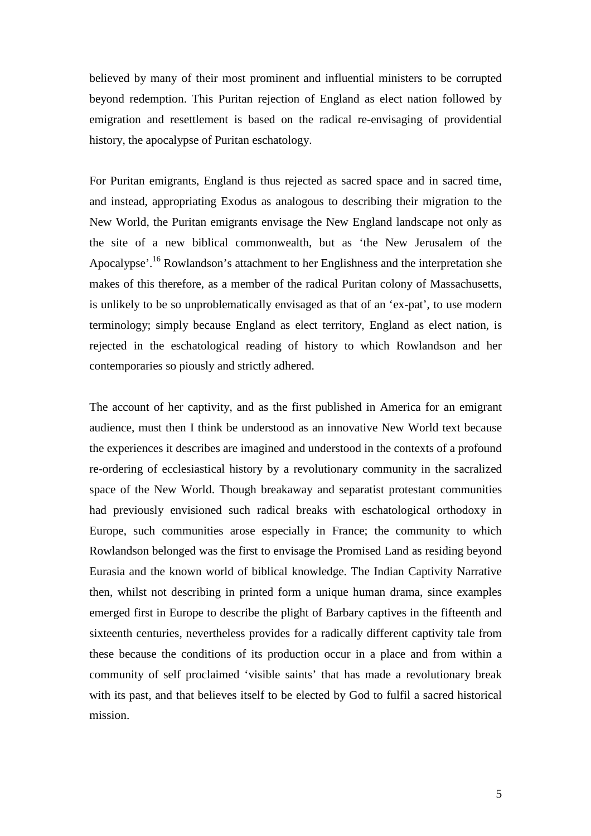believed by many of their most prominent and influential ministers to be corrupted beyond redemption. This Puritan rejection of England as elect nation followed by emigration and resettlement is based on the radical re-envisaging of providential history, the apocalypse of Puritan eschatology.

For Puritan emigrants, England is thus rejected as sacred space and in sacred time, and instead, appropriating Exodus as analogous to describing their migration to the New World, the Puritan emigrants envisage the New England landscape not only as the site of a new biblical commonwealth, but as 'the New Jerusalem of the Apocalypse'.<sup>16</sup> Rowlandson's attachment to her Englishness and the interpretation she makes of this therefore, as a member of the radical Puritan colony of Massachusetts, is unlikely to be so unproblematically envisaged as that of an 'ex-pat', to use modern terminology; simply because England as elect territory, England as elect nation, is rejected in the eschatological reading of history to which Rowlandson and her contemporaries so piously and strictly adhered.

The account of her captivity, and as the first published in America for an emigrant audience, must then I think be understood as an innovative New World text because the experiences it describes are imagined and understood in the contexts of a profound re-ordering of ecclesiastical history by a revolutionary community in the sacralized space of the New World. Though breakaway and separatist protestant communities had previously envisioned such radical breaks with eschatological orthodoxy in Europe, such communities arose especially in France; the community to which Rowlandson belonged was the first to envisage the Promised Land as residing beyond Eurasia and the known world of biblical knowledge. The Indian Captivity Narrative then, whilst not describing in printed form a unique human drama, since examples emerged first in Europe to describe the plight of Barbary captives in the fifteenth and sixteenth centuries, nevertheless provides for a radically different captivity tale from these because the conditions of its production occur in a place and from within a community of self proclaimed 'visible saints' that has made a revolutionary break with its past, and that believes itself to be elected by God to fulfil a sacred historical mission.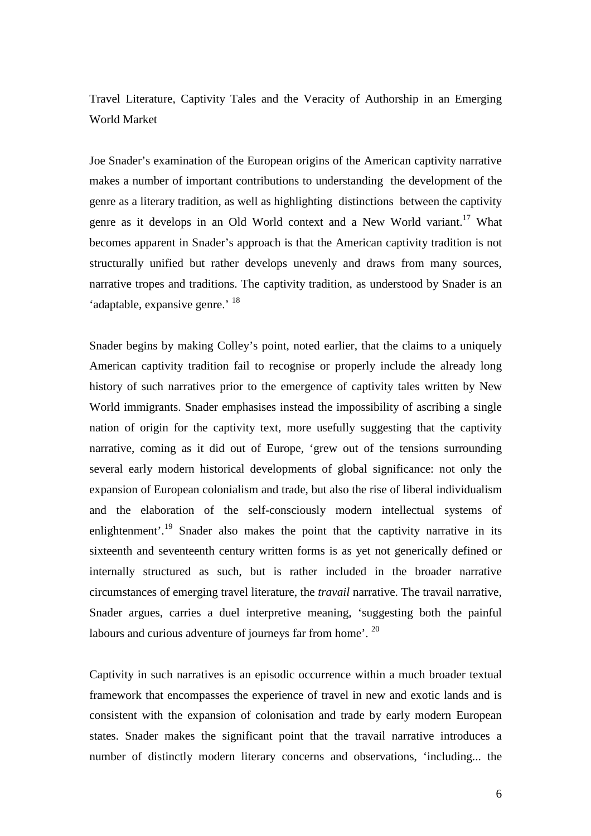Travel Literature, Captivity Tales and the Veracity of Authorship in an Emerging World Market

Joe Snader's examination of the European origins of the American captivity narrative makes a number of important contributions to understanding the development of the genre as a literary tradition, as well as highlighting distinctions between the captivity genre as it develops in an Old World context and a New World variant.<sup>17</sup> What becomes apparent in Snader's approach is that the American captivity tradition is not structurally unified but rather develops unevenly and draws from many sources, narrative tropes and traditions. The captivity tradition, as understood by Snader is an 'adaptable, expansive genre.' <sup>18</sup>

Snader begins by making Colley's point, noted earlier, that the claims to a uniquely American captivity tradition fail to recognise or properly include the already long history of such narratives prior to the emergence of captivity tales written by New World immigrants. Snader emphasises instead the impossibility of ascribing a single nation of origin for the captivity text, more usefully suggesting that the captivity narrative, coming as it did out of Europe, 'grew out of the tensions surrounding several early modern historical developments of global significance: not only the expansion of European colonialism and trade, but also the rise of liberal individualism and the elaboration of the self-consciously modern intellectual systems of enlightenment'.<sup>19</sup> Snader also makes the point that the captivity narrative in its sixteenth and seventeenth century written forms is as yet not generically defined or internally structured as such, but is rather included in the broader narrative circumstances of emerging travel literature, the *travail* narrative. The travail narrative, Snader argues, carries a duel interpretive meaning, 'suggesting both the painful labours and curious adventure of journeys far from home'. <sup>20</sup>

Captivity in such narratives is an episodic occurrence within a much broader textual framework that encompasses the experience of travel in new and exotic lands and is consistent with the expansion of colonisation and trade by early modern European states. Snader makes the significant point that the travail narrative introduces a number of distinctly modern literary concerns and observations, 'including... the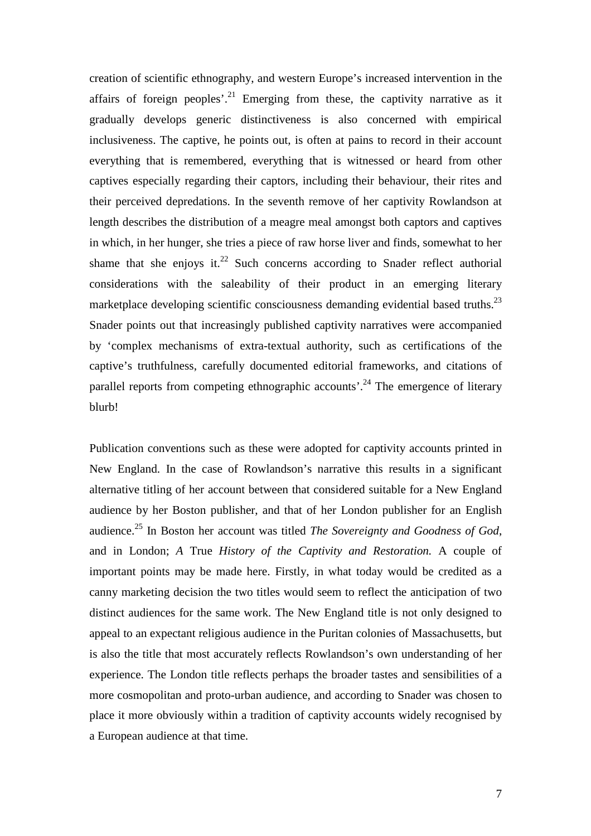creation of scientific ethnography, and western Europe's increased intervention in the affairs of foreign peoples'.<sup>21</sup> Emerging from these, the captivity narrative as it gradually develops generic distinctiveness is also concerned with empirical inclusiveness. The captive, he points out, is often at pains to record in their account everything that is remembered, everything that is witnessed or heard from other captives especially regarding their captors, including their behaviour, their rites and their perceived depredations. In the seventh remove of her captivity Rowlandson at length describes the distribution of a meagre meal amongst both captors and captives in which, in her hunger, she tries a piece of raw horse liver and finds, somewhat to her shame that she enjoys it.<sup>22</sup> Such concerns according to Snader reflect authorial considerations with the saleability of their product in an emerging literary marketplace developing scientific consciousness demanding evidential based truths.<sup>23</sup> Snader points out that increasingly published captivity narratives were accompanied by 'complex mechanisms of extra-textual authority, such as certifications of the captive's truthfulness, carefully documented editorial frameworks, and citations of parallel reports from competing ethnographic accounts<sup>'.24</sup> The emergence of literary blurb!

Publication conventions such as these were adopted for captivity accounts printed in New England. In the case of Rowlandson's narrative this results in a significant alternative titling of her account between that considered suitable for a New England audience by her Boston publisher, and that of her London publisher for an English audience.<sup>25</sup> In Boston her account was titled *The Sovereignty and Goodness of God*, and in London; *A* True *History of the Captivity and Restoration.* A couple of important points may be made here. Firstly, in what today would be credited as a canny marketing decision the two titles would seem to reflect the anticipation of two distinct audiences for the same work. The New England title is not only designed to appeal to an expectant religious audience in the Puritan colonies of Massachusetts, but is also the title that most accurately reflects Rowlandson's own understanding of her experience. The London title reflects perhaps the broader tastes and sensibilities of a more cosmopolitan and proto-urban audience, and according to Snader was chosen to place it more obviously within a tradition of captivity accounts widely recognised by a European audience at that time.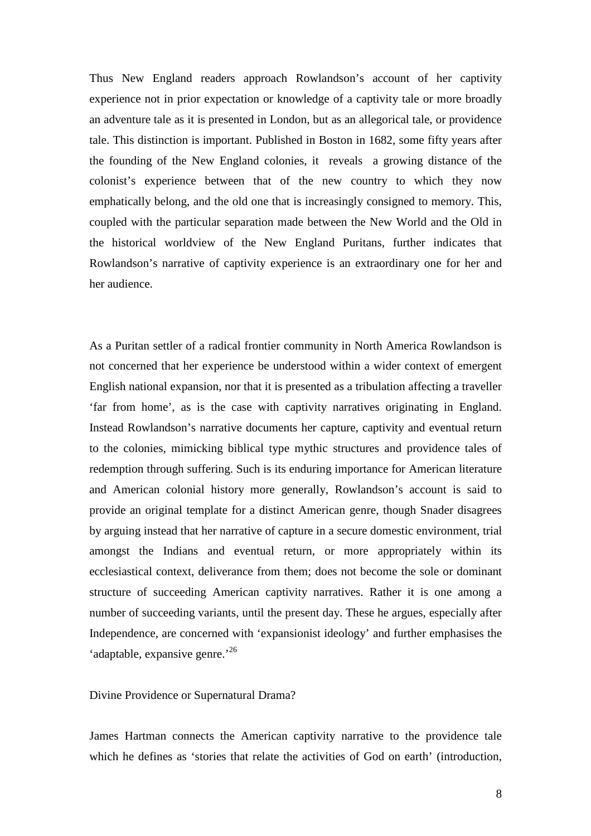Thus New England readers approach Rowlandson's account of her captivity experience not in prior expectation or knowledge of a captivity tale or more broadly an adventure tale as it is presented in London, but as an allegorical tale, or providence tale. This distinction is important. Published in Boston in 1682, some fifty years after the founding of the New England colonies, it reveals a growing distance of the colonist's experience between that of the new country to which they now emphatically belong, and the old one that is increasingly consigned to memory. This, coupled with the particular separation made between the New World and the Old in the historical worldview of the New England Puritans, further indicates that Rowlandson's narrative of captivity experience is an extraordinary one for her and her audience.

As a Puritan settler of a radical frontier community in North America Rowlandson is not concerned that her experience be understood within a wider context of emergent English national expansion, nor that it is presented as a tribulation affecting a traveller 'far from home', as is the case with captivity narratives originating in England. Instead Rowlandson's narrative documents her capture, captivity and eventual return to the colonies, mimicking biblical type mythic structures and providence tales of redemption through suffering. Such is its enduring importance for American literature and American colonial history more generally, Rowlandson's account is said to provide an original template for a distinct American genre, though Snader disagrees by arguing instead that her narrative of capture in a secure domestic environment, trial amongst the Indians and eventual return, or more appropriately within its ecclesiastical context, deliverance from them; does not become the sole or dominant structure of succeeding American captivity narratives. Rather it is one among a number of succeeding variants, until the present day. These he argues, especially after Independence, are concerned with 'expansionist ideology' and further emphasises the 'adaptable, expansive genre.'<sup>26</sup>

Divine Providence or Supernatural Drama?

James Hartman connects the American captivity narrative to the providence tale which he defines as 'stories that relate the activities of God on earth' (introduction,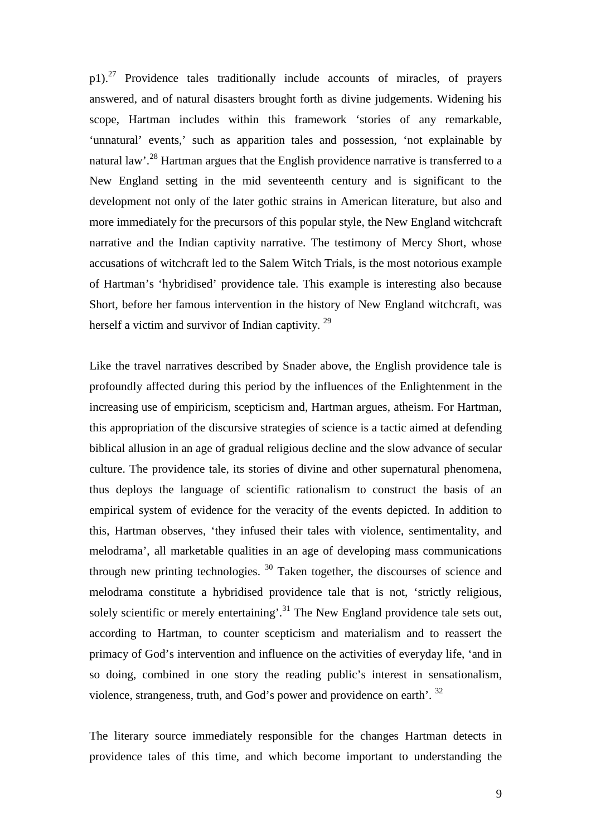$p1$ ).<sup>27</sup> Providence tales traditionally include accounts of miracles, of prayers answered, and of natural disasters brought forth as divine judgements. Widening his scope, Hartman includes within this framework 'stories of any remarkable, 'unnatural' events,' such as apparition tales and possession, 'not explainable by natural law'.<sup>28</sup> Hartman argues that the English providence narrative is transferred to a New England setting in the mid seventeenth century and is significant to the development not only of the later gothic strains in American literature, but also and more immediately for the precursors of this popular style, the New England witchcraft narrative and the Indian captivity narrative. The testimony of Mercy Short, whose accusations of witchcraft led to the Salem Witch Trials, is the most notorious example of Hartman's 'hybridised' providence tale. This example is interesting also because Short, before her famous intervention in the history of New England witchcraft, was herself a victim and survivor of Indian captivity.<sup>29</sup>

Like the travel narratives described by Snader above, the English providence tale is profoundly affected during this period by the influences of the Enlightenment in the increasing use of empiricism, scepticism and, Hartman argues, atheism. For Hartman, this appropriation of the discursive strategies of science is a tactic aimed at defending biblical allusion in an age of gradual religious decline and the slow advance of secular culture. The providence tale, its stories of divine and other supernatural phenomena, thus deploys the language of scientific rationalism to construct the basis of an empirical system of evidence for the veracity of the events depicted. In addition to this, Hartman observes, 'they infused their tales with violence, sentimentality, and melodrama', all marketable qualities in an age of developing mass communications through new printing technologies.  $30$  Taken together, the discourses of science and melodrama constitute a hybridised providence tale that is not, 'strictly religious, solely scientific or merely entertaining'.<sup>31</sup> The New England providence tale sets out, according to Hartman, to counter scepticism and materialism and to reassert the primacy of God's intervention and influence on the activities of everyday life, 'and in so doing, combined in one story the reading public's interest in sensationalism, violence, strangeness, truth, and God's power and providence on earth'. <sup>32</sup>

The literary source immediately responsible for the changes Hartman detects in providence tales of this time, and which become important to understanding the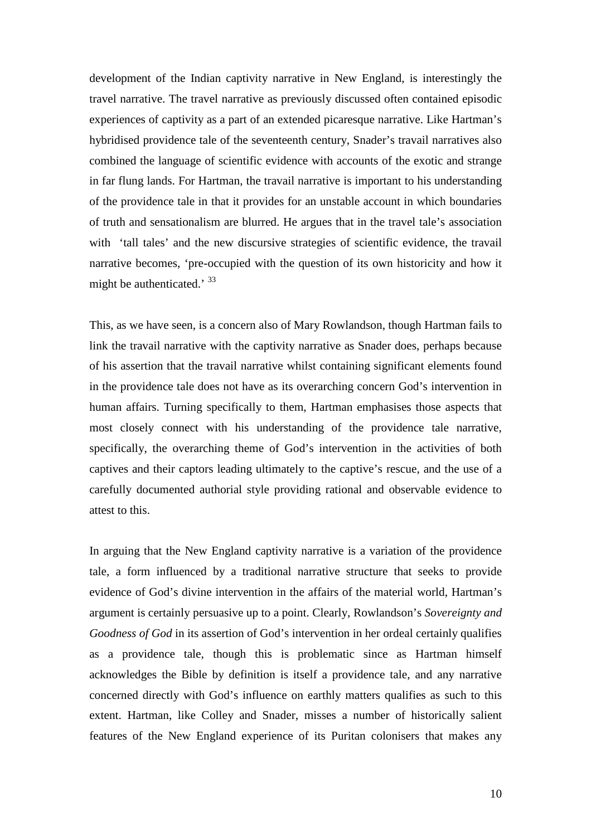development of the Indian captivity narrative in New England, is interestingly the travel narrative. The travel narrative as previously discussed often contained episodic experiences of captivity as a part of an extended picaresque narrative. Like Hartman's hybridised providence tale of the seventeenth century, Snader's travail narratives also combined the language of scientific evidence with accounts of the exotic and strange in far flung lands. For Hartman, the travail narrative is important to his understanding of the providence tale in that it provides for an unstable account in which boundaries of truth and sensationalism are blurred. He argues that in the travel tale's association with 'tall tales' and the new discursive strategies of scientific evidence, the travail narrative becomes, 'pre-occupied with the question of its own historicity and how it might be authenticated.' 33

This, as we have seen, is a concern also of Mary Rowlandson, though Hartman fails to link the travail narrative with the captivity narrative as Snader does, perhaps because of his assertion that the travail narrative whilst containing significant elements found in the providence tale does not have as its overarching concern God's intervention in human affairs. Turning specifically to them, Hartman emphasises those aspects that most closely connect with his understanding of the providence tale narrative, specifically, the overarching theme of God's intervention in the activities of both captives and their captors leading ultimately to the captive's rescue, and the use of a carefully documented authorial style providing rational and observable evidence to attest to this.

In arguing that the New England captivity narrative is a variation of the providence tale, a form influenced by a traditional narrative structure that seeks to provide evidence of God's divine intervention in the affairs of the material world, Hartman's argument is certainly persuasive up to a point. Clearly, Rowlandson's *Sovereignty and Goodness of God* in its assertion of God's intervention in her ordeal certainly qualifies as a providence tale, though this is problematic since as Hartman himself acknowledges the Bible by definition is itself a providence tale, and any narrative concerned directly with God's influence on earthly matters qualifies as such to this extent. Hartman, like Colley and Snader, misses a number of historically salient features of the New England experience of its Puritan colonisers that makes any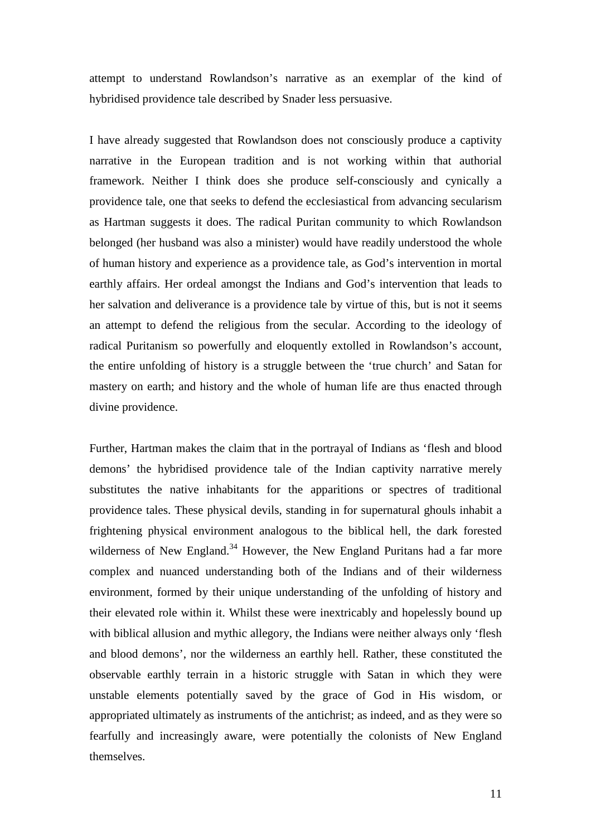attempt to understand Rowlandson's narrative as an exemplar of the kind of hybridised providence tale described by Snader less persuasive.

I have already suggested that Rowlandson does not consciously produce a captivity narrative in the European tradition and is not working within that authorial framework. Neither I think does she produce self-consciously and cynically a providence tale, one that seeks to defend the ecclesiastical from advancing secularism as Hartman suggests it does. The radical Puritan community to which Rowlandson belonged (her husband was also a minister) would have readily understood the whole of human history and experience as a providence tale, as God's intervention in mortal earthly affairs. Her ordeal amongst the Indians and God's intervention that leads to her salvation and deliverance is a providence tale by virtue of this, but is not it seems an attempt to defend the religious from the secular. According to the ideology of radical Puritanism so powerfully and eloquently extolled in Rowlandson's account, the entire unfolding of history is a struggle between the 'true church' and Satan for mastery on earth; and history and the whole of human life are thus enacted through divine providence.

Further, Hartman makes the claim that in the portrayal of Indians as 'flesh and blood demons' the hybridised providence tale of the Indian captivity narrative merely substitutes the native inhabitants for the apparitions or spectres of traditional providence tales. These physical devils, standing in for supernatural ghouls inhabit a frightening physical environment analogous to the biblical hell, the dark forested wilderness of New England.<sup>34</sup> However, the New England Puritans had a far more complex and nuanced understanding both of the Indians and of their wilderness environment, formed by their unique understanding of the unfolding of history and their elevated role within it. Whilst these were inextricably and hopelessly bound up with biblical allusion and mythic allegory, the Indians were neither always only 'flesh and blood demons', nor the wilderness an earthly hell. Rather, these constituted the observable earthly terrain in a historic struggle with Satan in which they were unstable elements potentially saved by the grace of God in His wisdom, or appropriated ultimately as instruments of the antichrist; as indeed, and as they were so fearfully and increasingly aware, were potentially the colonists of New England themselves.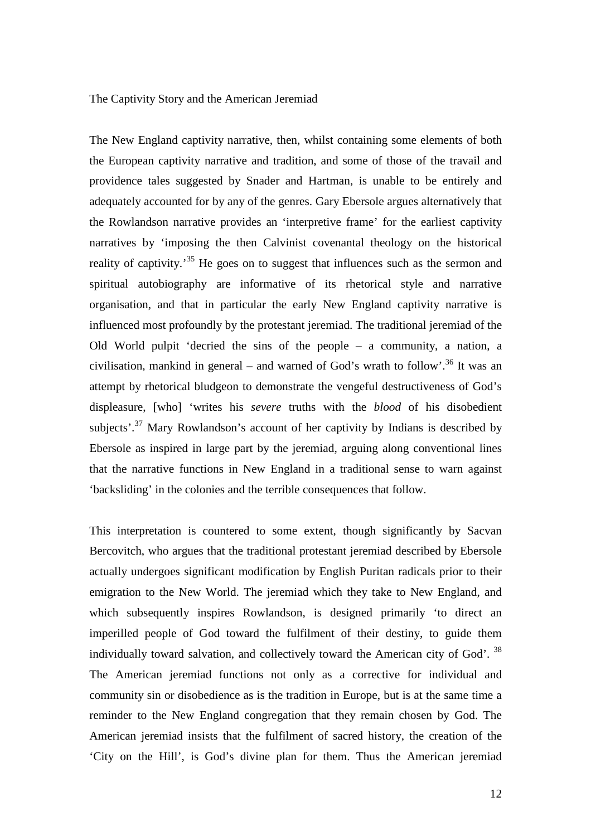## The Captivity Story and the American Jeremiad

The New England captivity narrative, then, whilst containing some elements of both the European captivity narrative and tradition, and some of those of the travail and providence tales suggested by Snader and Hartman, is unable to be entirely and adequately accounted for by any of the genres. Gary Ebersole argues alternatively that the Rowlandson narrative provides an 'interpretive frame' for the earliest captivity narratives by 'imposing the then Calvinist covenantal theology on the historical reality of captivity.<sup>35</sup> He goes on to suggest that influences such as the sermon and spiritual autobiography are informative of its rhetorical style and narrative organisation, and that in particular the early New England captivity narrative is influenced most profoundly by the protestant jeremiad. The traditional jeremiad of the Old World pulpit 'decried the sins of the people – a community, a nation, a civilisation, mankind in general – and warned of God's wrath to follow'.<sup>36</sup> It was an attempt by rhetorical bludgeon to demonstrate the vengeful destructiveness of God's displeasure, [who] 'writes his *severe* truths with the *blood* of his disobedient subjects'.<sup>37</sup> Mary Rowlandson's account of her captivity by Indians is described by Ebersole as inspired in large part by the jeremiad, arguing along conventional lines that the narrative functions in New England in a traditional sense to warn against 'backsliding' in the colonies and the terrible consequences that follow.

This interpretation is countered to some extent, though significantly by Sacvan Bercovitch, who argues that the traditional protestant jeremiad described by Ebersole actually undergoes significant modification by English Puritan radicals prior to their emigration to the New World. The jeremiad which they take to New England, and which subsequently inspires Rowlandson, is designed primarily 'to direct an imperilled people of God toward the fulfilment of their destiny, to guide them individually toward salvation, and collectively toward the American city of God'. <sup>38</sup> The American jeremiad functions not only as a corrective for individual and community sin or disobedience as is the tradition in Europe, but is at the same time a reminder to the New England congregation that they remain chosen by God. The American jeremiad insists that the fulfilment of sacred history, the creation of the 'City on the Hill', is God's divine plan for them. Thus the American jeremiad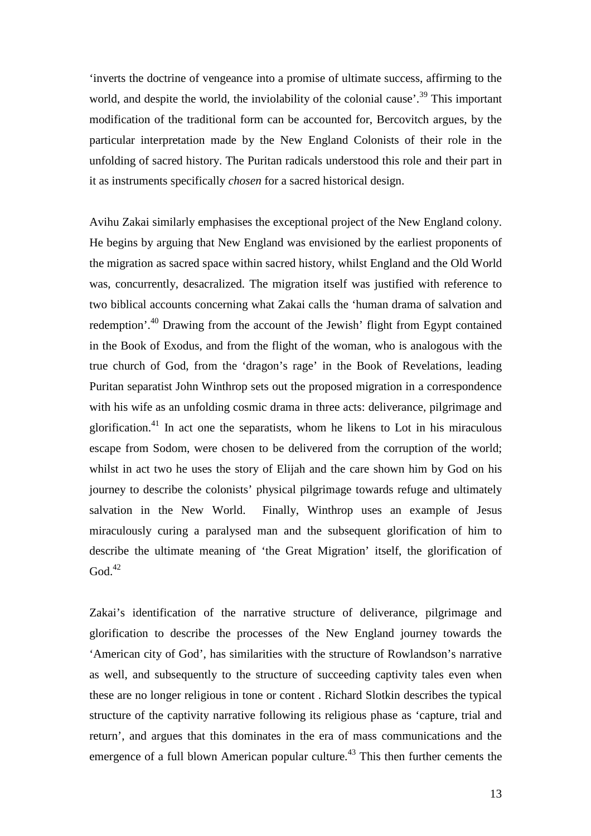'inverts the doctrine of vengeance into a promise of ultimate success, affirming to the world, and despite the world, the inviolability of the colonial cause'.<sup>39</sup> This important modification of the traditional form can be accounted for, Bercovitch argues, by the particular interpretation made by the New England Colonists of their role in the unfolding of sacred history. The Puritan radicals understood this role and their part in it as instruments specifically *chosen* for a sacred historical design.

Avihu Zakai similarly emphasises the exceptional project of the New England colony. He begins by arguing that New England was envisioned by the earliest proponents of the migration as sacred space within sacred history, whilst England and the Old World was, concurrently, desacralized. The migration itself was justified with reference to two biblical accounts concerning what Zakai calls the 'human drama of salvation and redemption'.<sup>40</sup> Drawing from the account of the Jewish' flight from Egypt contained in the Book of Exodus, and from the flight of the woman, who is analogous with the true church of God, from the 'dragon's rage' in the Book of Revelations, leading Puritan separatist John Winthrop sets out the proposed migration in a correspondence with his wife as an unfolding cosmic drama in three acts: deliverance, pilgrimage and glorification.<sup>41</sup> In act one the separatists, whom he likens to Lot in his miraculous escape from Sodom, were chosen to be delivered from the corruption of the world; whilst in act two he uses the story of Elijah and the care shown him by God on his journey to describe the colonists' physical pilgrimage towards refuge and ultimately salvation in the New World. Finally, Winthrop uses an example of Jesus miraculously curing a paralysed man and the subsequent glorification of him to describe the ultimate meaning of 'the Great Migration' itself, the glorification of  $God.<sup>42</sup>$ 

Zakai's identification of the narrative structure of deliverance, pilgrimage and glorification to describe the processes of the New England journey towards the 'American city of God', has similarities with the structure of Rowlandson's narrative as well, and subsequently to the structure of succeeding captivity tales even when these are no longer religious in tone or content . Richard Slotkin describes the typical structure of the captivity narrative following its religious phase as 'capture, trial and return', and argues that this dominates in the era of mass communications and the emergence of a full blown American popular culture.<sup>43</sup> This then further cements the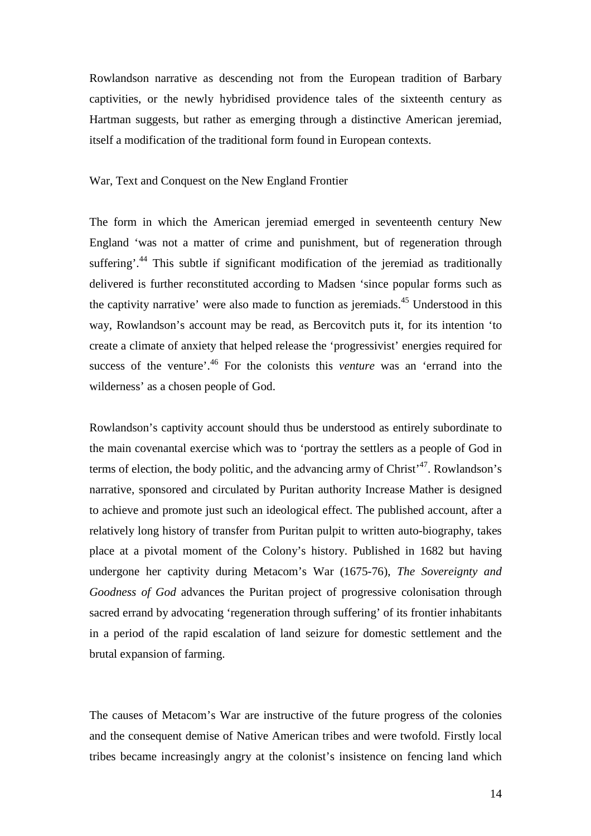Rowlandson narrative as descending not from the European tradition of Barbary captivities, or the newly hybridised providence tales of the sixteenth century as Hartman suggests, but rather as emerging through a distinctive American jeremiad, itself a modification of the traditional form found in European contexts.

War, Text and Conquest on the New England Frontier

The form in which the American jeremiad emerged in seventeenth century New England 'was not a matter of crime and punishment, but of regeneration through suffering'.<sup>44</sup> This subtle if significant modification of the jeremiad as traditionally delivered is further reconstituted according to Madsen 'since popular forms such as the captivity narrative' were also made to function as jeremiads.<sup>45</sup> Understood in this way, Rowlandson's account may be read, as Bercovitch puts it, for its intention 'to create a climate of anxiety that helped release the 'progressivist' energies required for success of the venture<sup>'.46</sup> For the colonists this *venture* was an 'errand into the wilderness' as a chosen people of God.

Rowlandson's captivity account should thus be understood as entirely subordinate to the main covenantal exercise which was to 'portray the settlers as a people of God in terms of election, the body politic, and the advancing army of Christ<sup>47</sup>. Rowlandson's narrative, sponsored and circulated by Puritan authority Increase Mather is designed to achieve and promote just such an ideological effect. The published account, after a relatively long history of transfer from Puritan pulpit to written auto-biography, takes place at a pivotal moment of the Colony's history. Published in 1682 but having undergone her captivity during Metacom's War (1675-76), *The Sovereignty and Goodness of God* advances the Puritan project of progressive colonisation through sacred errand by advocating 'regeneration through suffering' of its frontier inhabitants in a period of the rapid escalation of land seizure for domestic settlement and the brutal expansion of farming.

The causes of Metacom's War are instructive of the future progress of the colonies and the consequent demise of Native American tribes and were twofold. Firstly local tribes became increasingly angry at the colonist's insistence on fencing land which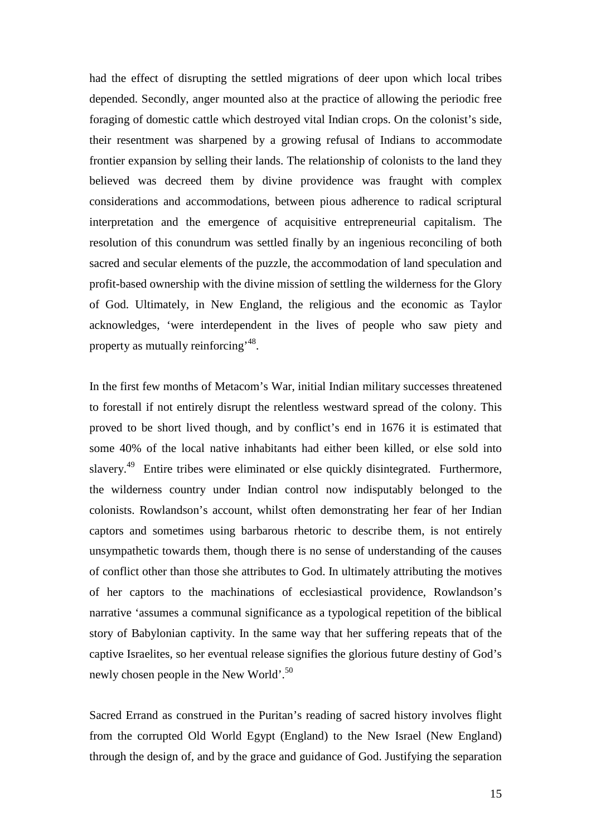had the effect of disrupting the settled migrations of deer upon which local tribes depended. Secondly, anger mounted also at the practice of allowing the periodic free foraging of domestic cattle which destroyed vital Indian crops. On the colonist's side, their resentment was sharpened by a growing refusal of Indians to accommodate frontier expansion by selling their lands. The relationship of colonists to the land they believed was decreed them by divine providence was fraught with complex considerations and accommodations, between pious adherence to radical scriptural interpretation and the emergence of acquisitive entrepreneurial capitalism. The resolution of this conundrum was settled finally by an ingenious reconciling of both sacred and secular elements of the puzzle, the accommodation of land speculation and profit-based ownership with the divine mission of settling the wilderness for the Glory of God. Ultimately, in New England, the religious and the economic as Taylor acknowledges, 'were interdependent in the lives of people who saw piety and property as mutually reinforcing<sup>, 48</sup>.

In the first few months of Metacom's War, initial Indian military successes threatened to forestall if not entirely disrupt the relentless westward spread of the colony. This proved to be short lived though, and by conflict's end in 1676 it is estimated that some 40% of the local native inhabitants had either been killed, or else sold into slavery.<sup>49</sup> Entire tribes were eliminated or else quickly disintegrated. Furthermore, the wilderness country under Indian control now indisputably belonged to the colonists. Rowlandson's account, whilst often demonstrating her fear of her Indian captors and sometimes using barbarous rhetoric to describe them, is not entirely unsympathetic towards them, though there is no sense of understanding of the causes of conflict other than those she attributes to God. In ultimately attributing the motives of her captors to the machinations of ecclesiastical providence, Rowlandson's narrative 'assumes a communal significance as a typological repetition of the biblical story of Babylonian captivity. In the same way that her suffering repeats that of the captive Israelites, so her eventual release signifies the glorious future destiny of God's newly chosen people in the New World'.<sup>50</sup>

Sacred Errand as construed in the Puritan's reading of sacred history involves flight from the corrupted Old World Egypt (England) to the New Israel (New England) through the design of, and by the grace and guidance of God. Justifying the separation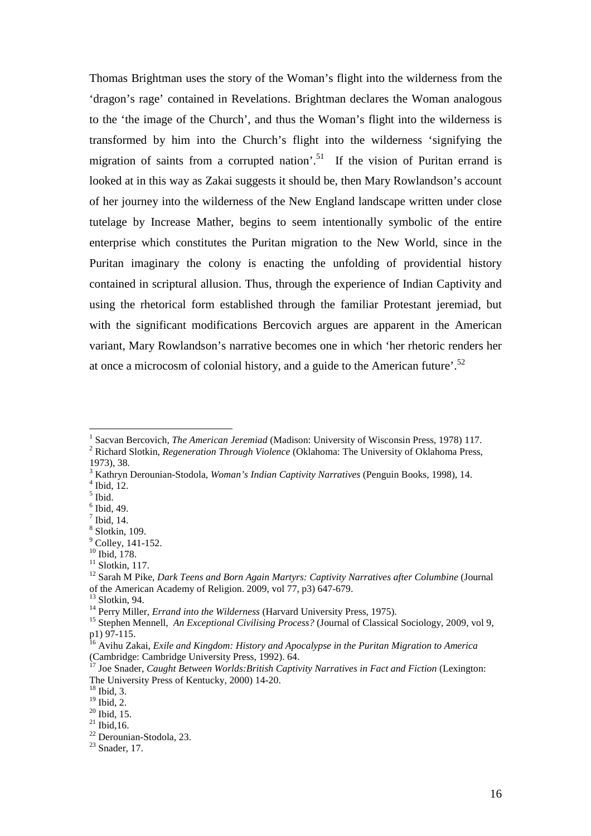Thomas Brightman uses the story of the Woman's flight into the wilderness from the 'dragon's rage' contained in Revelations. Brightman declares the Woman analogous to the 'the image of the Church', and thus the Woman's flight into the wilderness is transformed by him into the Church's flight into the wilderness 'signifying the migration of saints from a corrupted nation'.<sup>51</sup> If the vision of Puritan errand is looked at in this way as Zakai suggests it should be, then Mary Rowlandson's account of her journey into the wilderness of the New England landscape written under close tutelage by Increase Mather, begins to seem intentionally symbolic of the entire enterprise which constitutes the Puritan migration to the New World, since in the Puritan imaginary the colony is enacting the unfolding of providential history contained in scriptural allusion. Thus, through the experience of Indian Captivity and using the rhetorical form established through the familiar Protestant jeremiad, but with the significant modifications Bercovich argues are apparent in the American variant, Mary Rowlandson's narrative becomes one in which 'her rhetoric renders her at once a microcosm of colonial history, and a guide to the American future'.<sup>52</sup>

 $\overline{a}$ 

<sup>&</sup>lt;sup>1</sup> Sacvan Bercovich, *The American Jeremiad* (Madison: University of Wisconsin Press, 1978) 117.

<sup>2</sup> Richard Slotkin, *Regeneration Through Violence* (Oklahoma: The University of Oklahoma Press, 1973), 38.

<sup>3</sup> Kathryn Derounian-Stodola, *Woman's Indian Captivity Narratives* (Penguin Books, 1998), 14.

 $<sup>4</sup>$  Ibid, 12.</sup>

<sup>5</sup> Ibid.

<sup>6</sup> Ibid, 49.

 $<sup>7</sup>$  Ibid, 14.</sup>

<sup>8</sup> Slotkin, 109.

 $<sup>9</sup>$  Colley, 141-152.</sup>

<sup>10</sup> Ibid, 178.

 $11$  Slotkin, 117.

<sup>&</sup>lt;sup>12</sup> Sarah M Pike, *Dark Teens and Born Again Martyrs: Captivity Narratives after Columbine* (Journal of the American Academy of Religion. 2009, vol 77, p3) 647-679.

 $13$  Slotkin, 94.

<sup>&</sup>lt;sup>14</sup> Perry Miller, *Errand into the Wilderness* (Harvard University Press, 1975).

<sup>&</sup>lt;sup>15</sup> Stephen Mennell, *An Exceptional Civilising Process?* (Journal of Classical Sociology, 2009, vol 9, p1) 97-115.

<sup>16</sup> Avihu Zakai, *Exile and Kingdom: History and Apocalypse in the Puritan Migration to America* (Cambridge: Cambridge University Press, 1992). 64.

<sup>17</sup> Joe Snader, *Caught Between Worlds:British Captivity Narratives in Fact and Fiction* (Lexington: The University Press of Kentucky, 2000) 14-20.

<sup>18</sup> Ibid, 3.

 $19$  Ibid, 2.

 $^{20}$  Ibid, 15.

 $^{21}$  Ibid, 16.

 $22$  Derounian-Stodola, 23.

 $23$  Snader, 17.